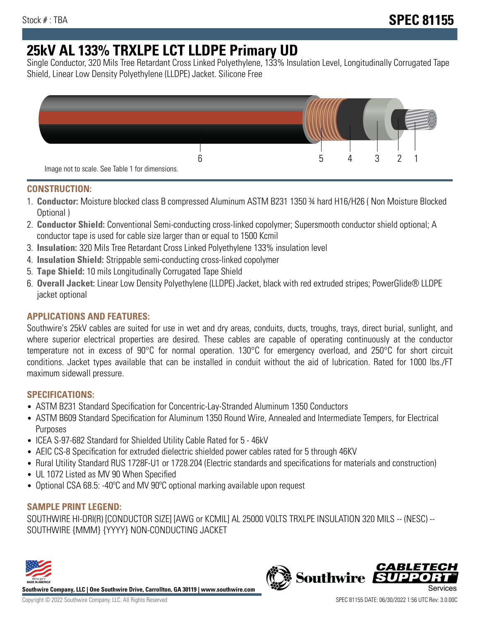# **25kV AL 133% TRXLPE LCT LLDPE Primary UD**

Single Conductor, 320 Mils Tree Retardant Cross Linked Polyethylene, 133% Insulation Level, Longitudinally Corrugated Tape Shield, Linear Low Density Polyethylene (LLDPE) Jacket. Silicone Free



## **CONSTRUCTION:**

- 1. **Conductor:** Moisture blocked class B compressed Aluminum ASTM B231 1350 ¾ hard H16/H26 ( Non Moisture Blocked Optional )
- 2. **Conductor Shield:** Conventional Semi-conducting cross-linked copolymer; Supersmooth conductor shield optional; A conductor tape is used for cable size larger than or equal to 1500 Kcmil
- 3. **Insulation:** 320 Mils Tree Retardant Cross Linked Polyethylene 133% insulation level
- 4. **Insulation Shield:** Strippable semi-conducting cross-linked copolymer
- 5. **Tape Shield:** 10 mils Longitudinally Corrugated Tape Shield
- 6. **Overall Jacket:** Linear Low Density Polyethylene (LLDPE) Jacket, black with red extruded stripes; PowerGlide® LLDPE jacket optional

## **APPLICATIONS AND FEATURES:**

Southwire's 25kV cables are suited for use in wet and dry areas, conduits, ducts, troughs, trays, direct burial, sunlight, and where superior electrical properties are desired. These cables are capable of operating continuously at the conductor temperature not in excess of 90°C for normal operation. 130°C for emergency overload, and 250°C for short circuit conditions. Jacket types available that can be installed in conduit without the aid of lubrication. Rated for 1000 lbs./FT maximum sidewall pressure.

### **SPECIFICATIONS:**

- ASTM B231 Standard Specification for Concentric-Lay-Stranded Aluminum 1350 Conductors
- ASTM B609 Standard Specification for Aluminum 1350 Round Wire, Annealed and Intermediate Tempers, for Electrical Purposes
- ICEA S-97-682 Standard for Shielded Utility Cable Rated for 5 46kV
- AEIC CS-8 Specification for extruded dielectric shielded power cables rated for 5 through 46KV
- Rural Utility Standard RUS 1728F-U1 or 1728.204 (Electric standards and specifications for materials and construction)
- UL 1072 Listed as MV 90 When Specified
- Optional CSA 68.5: -40°C and MV 90°C optional marking available upon request

### **SAMPLE PRINT LEGEND:**

SOUTHWIRE HI-DRI(R) [CONDUCTOR SIZE] [AWG or KCMIL] AL 25000 VOLTS TRXLPE INSULATION 320 MILS -- (NESC) -- SOUTHWIRE {MMM} {YYYY} NON-CONDUCTING JACKET



**Southwire Company, LLC | One Southwire Drive, Carrollton, GA 30119 | www.southwire.com**